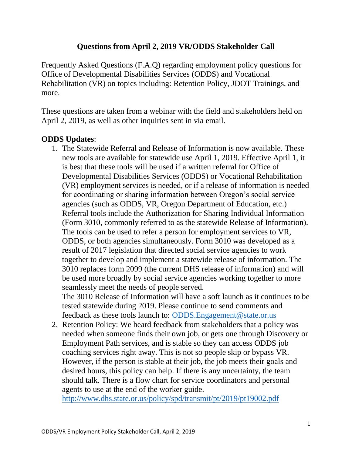## **Questions from April 2, 2019 VR/ODDS Stakeholder Call**

Frequently Asked Questions (F.A.Q) regarding employment policy questions for Office of Developmental Disabilities Services (ODDS) and Vocational Rehabilitation (VR) on topics including: Retention Policy, JDOT Trainings, and more.

These questions are taken from a webinar with the field and stakeholders held on April 2, 2019, as well as other inquiries sent in via email.

## **ODDS Updates**:

1. The Statewide Referral and Release of Information is now available. These new tools are available for statewide use April 1, 2019. Effective April 1, it is best that these tools will be used if a written referral for Office of Developmental Disabilities Services (ODDS) or Vocational Rehabilitation (VR) employment services is needed, or if a release of information is needed for coordinating or sharing information between Oregon's social service agencies (such as ODDS, VR, Oregon Department of Education, etc.) Referral tools include the Authorization for Sharing Individual Information (Form 3010, commonly referred to as the statewide Release of Information). The tools can be used to refer a person for employment services to VR, ODDS, or both agencies simultaneously. Form 3010 was developed as a result of 2017 legislation that directed social service agencies to work together to develop and implement a statewide release of information. The 3010 replaces form 2099 (the current DHS release of information) and will be used more broadly by social service agencies working together to more seamlessly meet the needs of people served.

The 3010 Release of Information will have a soft launch as it continues to be tested statewide during 2019. Please continue to send comments and feedback as these tools launch to: [ODDS.Engagement@state.or.us](mailto:ODDS.Engagement@state.or.us)

2. Retention Policy: We heard feedback from stakeholders that a policy was needed when someone finds their own job, or gets one through Discovery or Employment Path services, and is stable so they can access ODDS job coaching services right away. This is not so people skip or bypass VR. However, if the person is stable at their job, the job meets their goals and desired hours, this policy can help. If there is any uncertainty, the team should talk. There is a flow chart for service coordinators and personal agents to use at the end of the worker guide.

<http://www.dhs.state.or.us/policy/spd/transmit/pt/2019/pt19002.pdf>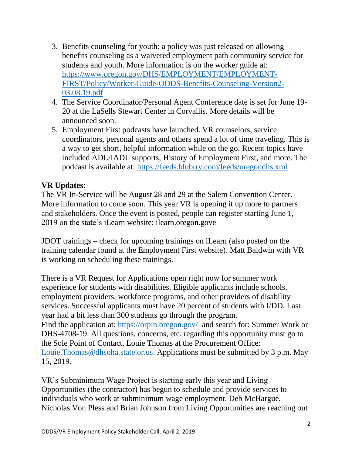- 3. Benefits counseling for youth: a policy was just released on allowing benefits counseling as a waivered employment path community service for students and youth. More information is on the worker guide at: [https://www.oregon.gov/DHS/EMPLOYMENT/EMPLOYMENT-](https://www.oregon.gov/DHS/EMPLOYMENT/EMPLOYMENT-FIRST/Policy/Worker-Guide-ODDS-Benefits-Counseling-Version2-03.08.19.pdf)[FIRST/Policy/Worker-Guide-ODDS-Benefits-Counseling-Version2-](https://www.oregon.gov/DHS/EMPLOYMENT/EMPLOYMENT-FIRST/Policy/Worker-Guide-ODDS-Benefits-Counseling-Version2-03.08.19.pdf) [03.08.19.pdf](https://www.oregon.gov/DHS/EMPLOYMENT/EMPLOYMENT-FIRST/Policy/Worker-Guide-ODDS-Benefits-Counseling-Version2-03.08.19.pdf)
- 4. The Service Coordinator/Personal Agent Conference date is set for June 19- 20 at the LaSells Stewart Center in Corvallis. More details will be announced soon.
- 5. Employment First podcasts have launched. VR counselors, service coordinators, personal agents and others spend a lot of time traveling. This is a way to get short, helpful information while on the go. Recent topics have included ADL/IADL supports, History of Employment First, and more. The podcast is available at:<https://feeds.blubrry.com/feeds/oregondhs.xml>

## **VR Updates**:

The VR In-Service will be August 28 and 29 at the Salem Convention Center. More information to come soon. This year VR is opening it up more to partners and stakeholders. Once the event is posted, people can register starting June 1, 2019 on the state's iLearn website: ilearn.oregon.gove

JDOT trainings – check for upcoming trainings on iLearn (also posted on the training calendar found at the Employment First website). Matt Baldwin with VR is working on scheduling these trainings.

There is a VR Request for Applications open right now for summer work experience for students with disabilities. Eligible applicants include schools, employment providers, workforce programs, and other providers of disability services. Successful applicants must have 20 percent of students with I/DD. Last year had a bit less than 300 students go through the program. Find the application at: <https://orpin.oregon.gov/>and search for: Summer Work or DHS-4708-19. All questions, concerns, etc. regarding this opportunity must go to the Sole Point of Contact, Louie Thomas at the Procurement Office: [Louie.Thomas@dhsoha.state.or.us.](mailto:Louie.Thomas@dhsoha.state.or.us) Applications must be submitted by 3 p.m. May 15, 2019.

VR's Subminimum Wage Project is starting early this year and Living Opportunities (the contractor) has begun to schedule and provide services to individuals who work at subminimum wage employment. Deb McHargue, Nicholas Von Pless and Brian Johnson from Living Opportunities are reaching out